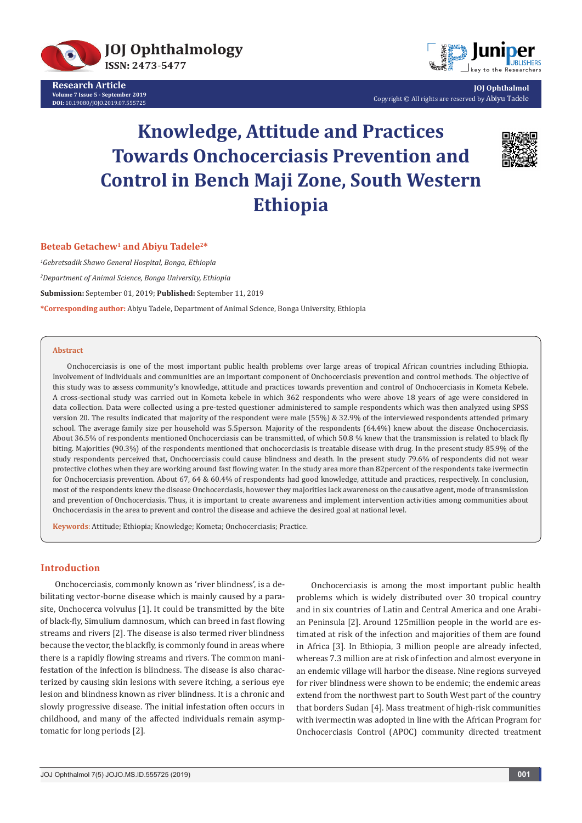

**Research Article Volume 7 Issue 5 - September 2019 DOI:** [10.19080/JOJO.2019.07.555725](http://dx.doi.org/10.19080/JOJO.2019.07.555725)



**JOJ Ophthalmol** Copyright © All rights are reserved by Abiyu Tadele

# **Knowledge, Attitude and Practices Towards Onchocerciasis Prevention and Control in Bench Maji Zone, South Western Ethiopia**



### **Beteab Getachew1 and Abiyu Tadele2\***

*1 Gebretsadik Shawo General Hospital, Bonga, Ethiopia*

*2 Department of Animal Science, Bonga University, Ethiopia*

**Submission:** September 01, 2019; **Published:** September 11, 2019

**\*Corresponding author:** Abiyu Tadele, Department of Animal Science, Bonga University, Ethiopia

#### **Abstract**

Onchocerciasis is one of the most important public health problems over large areas of tropical African countries including Ethiopia. Involvement of individuals and communities are an important component of Onchocerciasis prevention and control methods. The objective of this study was to assess community's knowledge, attitude and practices towards prevention and control of Onchocerciasis in Kometa Kebele. A cross-sectional study was carried out in Kometa kebele in which 362 respondents who were above 18 years of age were considered in data collection. Data were collected using a pre-tested questioner administered to sample respondents which was then analyzed using SPSS version 20. The results indicated that majority of the respondent were male (55%) & 32.9% of the interviewed respondents attended primary school. The average family size per household was 5.5person. Majority of the respondents (64.4%) knew about the disease Onchocerciasis. About 36.5% of respondents mentioned Onchocerciasis can be transmitted, of which 50.8 % knew that the transmission is related to black fly biting. Majorities (90.3%) of the respondents mentioned that onchocerciasis is treatable disease with drug. In the present study 85.9% of the study respondents perceived that, Onchocerciasis could cause blindness and death. In the present study 79.6% of respondents did not wear protective clothes when they are working around fast flowing water. In the study area more than 82percent of the respondents take ivermectin for Onchocerciasis prevention. About 67, 64 & 60.4% of respondents had good knowledge, attitude and practices, respectively. In conclusion, most of the respondents knew the disease Onchocerciasis, however they majorities lack awareness on the causative agent, mode of transmission and prevention of Onchocerciasis. Thus, it is important to create awareness and implement intervention activities among communities about Onchocerciasis in the area to prevent and control the disease and achieve the desired goal at national level.

**Keywords**: Attitude; Ethiopia; Knowledge; Kometa; Onchocerciasis; Practice.

### **Introduction**

Onchocerciasis, commonly known as 'river blindness', is a debilitating vector-borne disease which is mainly caused by a parasite, Onchocerca volvulus [1]. It could be transmitted by the bite of black-fly, Simulium damnosum, which can breed in fast flowing streams and rivers [2]. The disease is also termed river blindness because the vector, the blackfly, is commonly found in areas where there is a rapidly flowing streams and rivers. The common manifestation of the infection is blindness. The disease is also characterized by causing skin lesions with severe itching, a serious eye lesion and blindness known as river blindness. It is a chronic and slowly progressive disease. The initial infestation often occurs in childhood, and many of the affected individuals remain asymptomatic for long periods [2].

Onchocerciasis is among the most important public health problems which is widely distributed over 30 tropical country and in six countries of Latin and Central America and one Arabian Peninsula [2]. Around 125million people in the world are estimated at risk of the infection and majorities of them are found in Africa [3]. In Ethiopia, 3 million people are already infected, whereas 7.3 million are at risk of infection and almost everyone in an endemic village will harbor the disease. Nine regions surveyed for river blindness were shown to be endemic; the endemic areas extend from the northwest part to South West part of the country that borders Sudan [4]. Mass treatment of high-risk communities with ivermectin was adopted in line with the African Program for Onchocerciasis Control (APOC) community directed treatment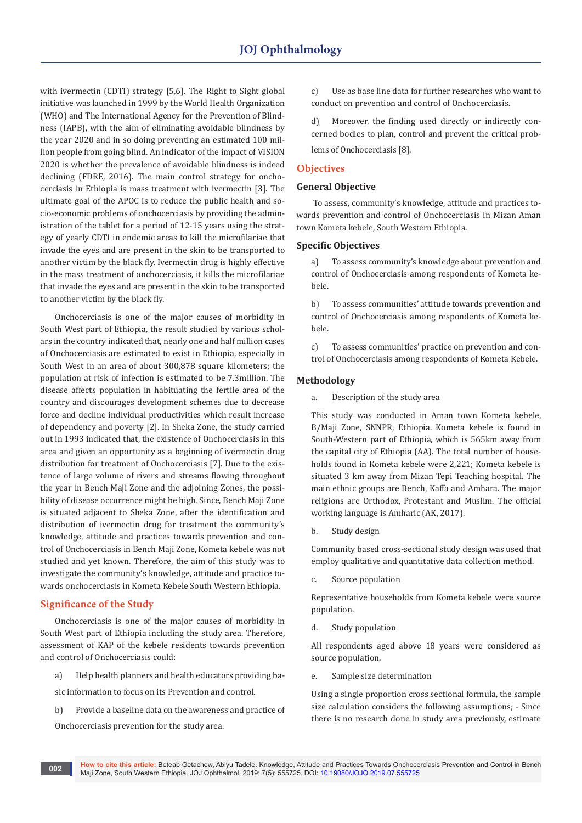with ivermectin (CDTI) strategy [5,6]. The Right to Sight global initiative was launched in 1999 by the World Health Organization (WHO) and The International Agency for the Prevention of Blindness (IAPB), with the aim of eliminating avoidable blindness by the year 2020 and in so doing preventing an estimated 100 million people from going blind. An indicator of the impact of VISION 2020 is whether the prevalence of avoidable blindness is indeed declining (FDRE, 2016). The main control strategy for onchocerciasis in Ethiopia is mass treatment with ivermectin [3]. The ultimate goal of the APOC is to reduce the public health and socio-economic problems of onchocerciasis by providing the administration of the tablet for a period of 12-15 years using the strategy of yearly CDTI in endemic areas to kill the microfilariae that invade the eyes and are present in the skin to be transported to another victim by the black fly. Ivermectin drug is highly effective in the mass treatment of onchocerciasis, it kills the microfilariae that invade the eyes and are present in the skin to be transported to another victim by the black fly.

Onchocerciasis is one of the major causes of morbidity in South West part of Ethiopia, the result studied by various scholars in the country indicated that, nearly one and half million cases of Onchocerciasis are estimated to exist in Ethiopia, especially in South West in an area of about 300,878 square kilometers; the population at risk of infection is estimated to be 7.3million. The disease affects population in habituating the fertile area of the country and discourages development schemes due to decrease force and decline individual productivities which result increase of dependency and poverty [2]. In Sheka Zone, the study carried out in 1993 indicated that, the existence of Onchocerciasis in this area and given an opportunity as a beginning of ivermectin drug distribution for treatment of Onchocerciasis [7]. Due to the existence of large volume of rivers and streams flowing throughout the year in Bench Maji Zone and the adjoining Zones, the possibility of disease occurrence might be high. Since, Bench Maji Zone is situated adjacent to Sheka Zone, after the identification and distribution of ivermectin drug for treatment the community's knowledge, attitude and practices towards prevention and control of Onchocerciasis in Bench Maji Zone, Kometa kebele was not studied and yet known. Therefore, the aim of this study was to investigate the community's knowledge, attitude and practice towards onchocerciasis in Kometa Kebele South Western Ethiopia.

### **Significance of the Study**

Onchocerciasis is one of the major causes of morbidity in South West part of Ethiopia including the study area. Therefore, assessment of KAP of the kebele residents towards prevention and control of Onchocerciasis could:

a) Help health planners and health educators providing ba-

sic information to focus on its Prevention and control.

b) Provide a baseline data on the awareness and practice of Onchocerciasis prevention for the study area.

c) Use as base line data for further researches who want to conduct on prevention and control of Onchocerciasis.

d) Moreover, the finding used directly or indirectly concerned bodies to plan, control and prevent the critical problems of Onchocerciasis [8].

### **Objectives**

### **General Objective**

 To assess, community's knowledge, attitude and practices towards prevention and control of Onchocerciasis in Mizan Aman town Kometa kebele, South Western Ethiopia.

### **Specific Objectives**

a) To assess community's knowledge about prevention and control of Onchocerciasis among respondents of Kometa kebele.

b) To assess communities' attitude towards prevention and control of Onchocerciasis among respondents of Kometa kebele.

c) To assess communities' practice on prevention and control of Onchocerciasis among respondents of Kometa Kebele.

### **Methodology**

a. Description of the study area

This study was conducted in Aman town Kometa kebele, B/Maji Zone, SNNPR, Ethiopia. Kometa kebele is found in South-Western part of Ethiopia, which is 565km away from the capital city of Ethiopia (AA). The total number of households found in Kometa kebele were 2,221; Kometa kebele is situated 3 km away from Mizan Tepi Teaching hospital. The main ethnic groups are Bench, Kaffa and Amhara. The major religions are Orthodox, Protestant and Muslim. The official working language is Amharic (AK, 2017).

b. Study design

Community based cross-sectional study design was used that employ qualitative and quantitative data collection method.

c. Source population

Representative households from Kometa kebele were source population.

d. Study population

All respondents aged above 18 years were considered as source population.

e. Sample size determination

Using a single proportion cross sectional formula, the sample size calculation considers the following assumptions; - Since there is no research done in study area previously, estimate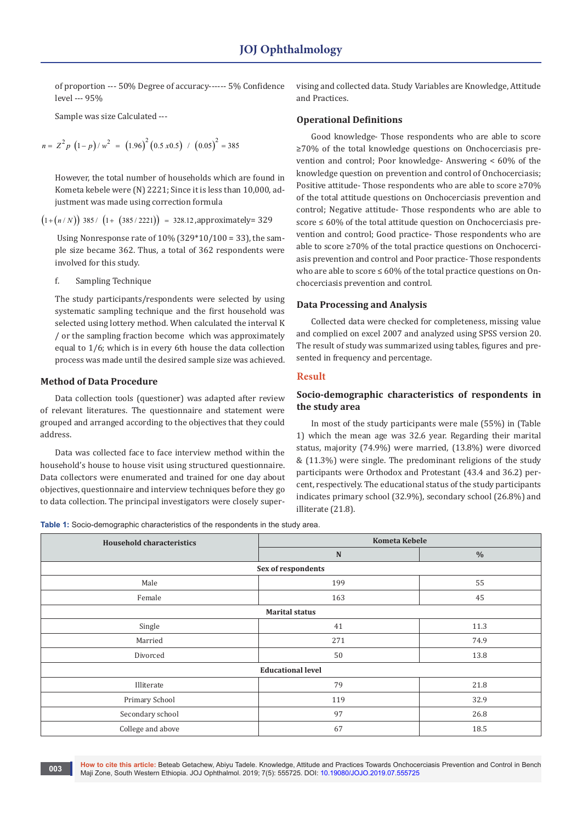of proportion --- 50% Degree of accuracy------ 5% Confidence level --- 95%

Sample was size Calculated ---

$$
n = Z2 p (1-p)/w2 = (1.96)2 (0.5 x 0.5) / (0.05)2 = 385
$$

However, the total number of households which are found in Kometa kebele were (N) 2221; Since it is less than 10,000, adjustment was made using correction formula

 $(1+(n/N))$  385 /  $(1+(385/2221)) = 328.12$ ,approximately= 329

Using Nonresponse rate of  $10\%$  (329\*10/100 = 33), the sample size became 362. Thus, a total of 362 respondents were involved for this study.

f. Sampling Technique

The study participants/respondents were selected by using systematic sampling technique and the first household was selected using lottery method. When calculated the interval K / or the sampling fraction become which was approximately equal to 1/6; which is in every 6th house the data collection process was made until the desired sample size was achieved.

### **Method of Data Procedure**

Data collection tools (questioner) was adapted after review of relevant literatures. The questionnaire and statement were grouped and arranged according to the objectives that they could address.

Data was collected face to face interview method within the household's house to house visit using structured questionnaire. Data collectors were enumerated and trained for one day about objectives, questionnaire and interview techniques before they go to data collection. The principal investigators were closely supervising and collected data. Study Variables are Knowledge, Attitude and Practices.

### **Operational Definitions**

Good knowledge- Those respondents who are able to score ≥70% of the total knowledge questions on Onchocerciasis prevention and control; Poor knowledge- Answering < 60% of the knowledge question on prevention and control of Onchocerciasis; Positive attitude- Those respondents who are able to score ≥70% of the total attitude questions on Onchocerciasis prevention and control; Negative attitude- Those respondents who are able to score ≤ 60% of the total attitude question on Onchocerciasis prevention and control; Good practice- Those respondents who are able to score ≥70% of the total practice questions on Onchocerciasis prevention and control and Poor practice- Those respondents who are able to score  $\leq 60\%$  of the total practice questions on Onchocerciasis prevention and control.

### **Data Processing and Analysis**

Collected data were checked for completeness, missing value and complied on excel 2007 and analyzed using SPSS version 20. The result of study was summarized using tables, figures and presented in frequency and percentage.

### **Result**

### **Socio-demographic characteristics of respondents in the study area**

In most of the study participants were male (55%) in (Table 1) which the mean age was 32.6 year. Regarding their marital status, majority (74.9%) were married, (13.8%) were divorced & (11.3%) were single. The predominant religions of the study participants were Orthodox and Protestant (43.4 and 36.2) percent, respectively. The educational status of the study participants indicates primary school (32.9%), secondary school (26.8%) and illiterate (21.8).

**Table 1:** Socio-demographic characteristics of the respondents in the study area.

| <b>Household characteristics</b> | <b>Kometa Kebele</b>     |               |  |  |  |
|----------------------------------|--------------------------|---------------|--|--|--|
|                                  | $\mathbf N$              | $\frac{0}{0}$ |  |  |  |
| Sex of respondents               |                          |               |  |  |  |
| Male                             | 199                      | 55            |  |  |  |
| Female                           | 163                      | 45            |  |  |  |
|                                  | <b>Marital status</b>    |               |  |  |  |
| Single                           | 41                       | 11.3          |  |  |  |
| Married                          | 271                      | 74.9          |  |  |  |
| Divorced                         | 50                       | 13.8          |  |  |  |
|                                  | <b>Educational level</b> |               |  |  |  |
| Illiterate                       | 79                       | 21.8          |  |  |  |
| Primary School                   | 119                      | 32.9          |  |  |  |
| Secondary school                 | 97                       | 26.8          |  |  |  |
| College and above                | 67                       | 18.5          |  |  |  |

**How to cite this article:** Beteab Getachew, Abiyu Tadele. Knowledge, Attitude and Practices Towards Onchocerciasis Prevention and Control in Bench Maji Zone, South Western Ethiopia. JOJ Ophthalmol. 2019; 7(5): 555725. DOI: [10.19080/JOJO.2019.07.555725](http://dx.doi.org/10.19080/JOJO.2019.07.555725) **<sup>003</sup>**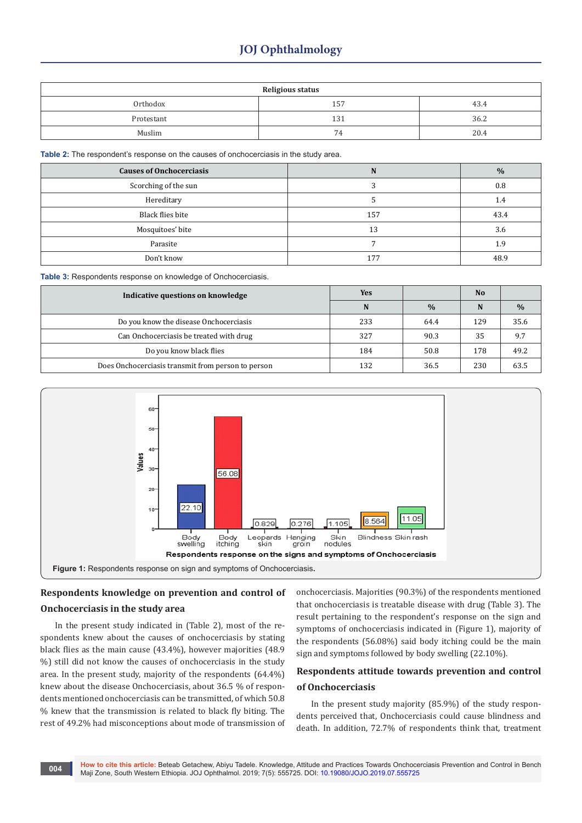# **JOJ Ophthalmology**

| <b>Religious status</b> |     |      |  |  |
|-------------------------|-----|------|--|--|
| Orthodox                | 157 | 43.4 |  |  |
| Protestant              | 131 | 36.2 |  |  |
| Muslim                  | 74  | 20.4 |  |  |

**Table 2:** The respondent's response on the causes of onchocerciasis in the study area.

| <b>Causes of Onchocerciasis</b> | N   | $\frac{0}{0}$ |
|---------------------------------|-----|---------------|
| Scorching of the sun            |     | 0.8           |
| Hereditary                      |     | 1.4           |
| Black flies bite                | 157 | 43.4          |
| Mosquitoes' bite                | 13  | 3.6           |
| Parasite                        |     | 1.9           |
| Don't know                      | 177 | 48.9          |

**Table 3:** Respondents response on knowledge of Onchocerciasis.

| Indicative questions on knowledge                  | <b>Yes</b> |               | <b>No</b> |      |
|----------------------------------------------------|------------|---------------|-----------|------|
|                                                    | N          | $\frac{0}{0}$ | N         | $\%$ |
| Do you know the disease Onchocerciasis             | 233        | 64.4          | 129       | 35.6 |
| Can Onchocerciasis be treated with drug            | 327        | 90.3          | 35        | 9.7  |
| Do you know black flies                            | 184        | 50.8          | 178       | 49.2 |
| Does Onchocerciasis transmit from person to person | 132        | 36.5          | 230       | 63.5 |



# **Respondents knowledge on prevention and control of Onchocerciasis in the study area**

In the present study indicated in (Table 2), most of the respondents knew about the causes of onchocerciasis by stating black flies as the main cause (43.4%), however majorities (48.9 %) still did not know the causes of onchocerciasis in the study area. In the present study, majority of the respondents (64.4%) knew about the disease Onchocerciasis, about 36.5 % of respondents mentioned onchocerciasis can be transmitted, of which 50.8 % knew that the transmission is related to black fly biting. The rest of 49.2% had misconceptions about mode of transmission of onchocerciasis. Majorities (90.3%) of the respondents mentioned that onchocerciasis is treatable disease with drug (Table 3). The result pertaining to the respondent's response on the sign and symptoms of onchocerciasis indicated in (Figure 1), majority of the respondents (56.08%) said body itching could be the main sign and symptoms followed by body swelling (22.10%).

### **Respondents attitude towards prevention and control of Onchocerciasis**

In the present study majority (85.9%) of the study respondents perceived that, Onchocerciasis could cause blindness and death. In addition, 72.7% of respondents think that, treatment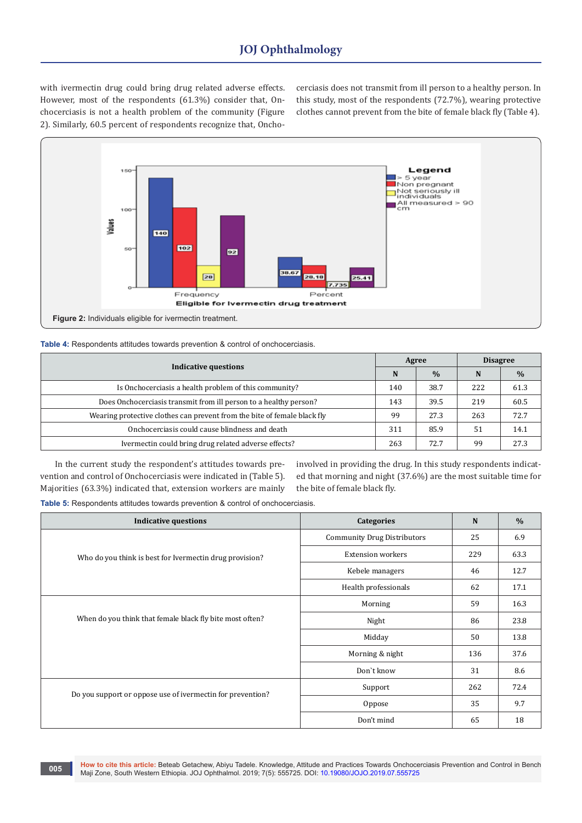with ivermectin drug could bring drug related adverse effects. However, most of the respondents (61.3%) consider that, Onchocerciasis is not a health problem of the community (Figure 2). Similarly, 60.5 percent of respondents recognize that, Onchocerciasis does not transmit from ill person to a healthy person. In this study, most of the respondents (72.7%), wearing protective clothes cannot prevent from the bite of female black fly (Table 4).



| Table 4: Respondents attitudes towards prevention & control of onchocerciasis. |  |  |  |  |
|--------------------------------------------------------------------------------|--|--|--|--|
|                                                                                |  |  |  |  |

| <b>Indicative questions</b>                                              |     | Agree         | <b>Disagree</b> |      |
|--------------------------------------------------------------------------|-----|---------------|-----------------|------|
|                                                                          |     | $\frac{0}{0}$ | N               | $\%$ |
| Is Onchocerciasis a health problem of this community?                    | 140 | 38.7          | 222             | 61.3 |
| Does Onchocerciasis transmit from ill person to a healthy person?        | 143 | 39.5          | 219             | 60.5 |
| Wearing protective clothes can prevent from the bite of female black fly | 99  | 27.3          | 263             | 72.7 |
| Onchocerciasis could cause blindness and death                           | 311 | 85.9          | 51              | 14.1 |
| Ivermectin could bring drug related adverse effects?                     | 263 | 72.7          | 99              | 27.3 |

In the current study the respondent's attitudes towards prevention and control of Onchocerciasis were indicated in (Table 5). Majorities (63.3%) indicated that, extension workers are mainly involved in providing the drug. In this study respondents indicated that morning and night (37.6%) are the most suitable time for the bite of female black fly.

**Table 5:** Respondents attitudes towards prevention & control of onchocerciasis.

| <b>Indicative questions</b>                                | <b>Categories</b>                  | N   | $\frac{0}{0}$ |
|------------------------------------------------------------|------------------------------------|-----|---------------|
|                                                            | <b>Community Drug Distributors</b> | 25  | 6.9           |
| Who do you think is best for Ivermectin drug provision?    | <b>Extension workers</b>           | 229 | 63.3          |
|                                                            | Kebele managers                    | 46  | 12.7          |
|                                                            | Health professionals               | 62  | 17.1          |
|                                                            | Morning                            | 59  | 16.3          |
| When do you think that female black fly bite most often?   | Night                              | 86  | 23.8          |
|                                                            | Midday                             | 50  | 13.8          |
|                                                            | Morning & night                    | 136 | 37.6          |
|                                                            | Don't know                         | 31  | 8.6           |
| Do you support or oppose use of ivermectin for prevention? | Support                            | 262 | 72.4          |
|                                                            | Oppose                             | 35  | 9.7           |
|                                                            | Don't mind                         | 65  | 18            |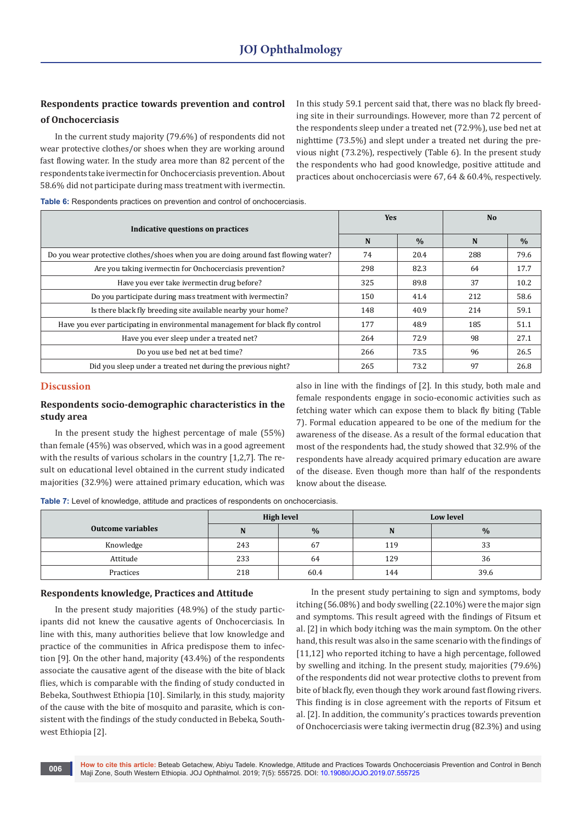## **Respondents practice towards prevention and control of Onchocerciasis**

In the current study majority (79.6%) of respondents did not wear protective clothes/or shoes when they are working around fast flowing water. In the study area more than 82 percent of the respondents take ivermectin for Onchocerciasis prevention. About 58.6% did not participate during mass treatment with ivermectin. In this study 59.1 percent said that, there was no black fly breeding site in their surroundings. However, more than 72 percent of the respondents sleep under a treated net (72.9%), use bed net at nighttime (73.5%) and slept under a treated net during the previous night (73.2%), respectively (Table 6). In the present study the respondents who had good knowledge, positive attitude and practices about onchocerciasis were 67, 64 & 60.4%, respectively.

**Table 6:** Respondents practices on prevention and control of onchocerciasis.

| Indicative questions on practices                                                  | <b>Yes</b> |               | <b>No</b> |               |  |
|------------------------------------------------------------------------------------|------------|---------------|-----------|---------------|--|
|                                                                                    |            | $\frac{0}{0}$ | N         | $\frac{0}{0}$ |  |
| Do you wear protective clothes/shoes when you are doing around fast flowing water? | 74         | 20.4          | 288       | 79.6          |  |
| Are you taking ivermectin for Onchocerciasis prevention?                           | 298        | 82.3          | 64        | 17.7          |  |
| Have you ever take ivermectin drug before?                                         | 325        | 89.8          | 37        | 10.2          |  |
| Do you participate during mass treatment with ivermectin?                          | 150        | 41.4          | 212       | 58.6          |  |
| Is there black fly breeding site available nearby your home?                       | 148        | 40.9          | 214       | 59.1          |  |
| Have you ever participating in environmental management for black fly control      | 177        | 48.9          | 185       | 51.1          |  |
| Have you ever sleep under a treated net?                                           | 264        | 72.9          | 98        | 27.1          |  |
| Do you use bed net at bed time?                                                    | 266        | 73.5          | 96        | 26.5          |  |
| Did you sleep under a treated net during the previous night?                       | 265        | 73.2          | 97        | 26.8          |  |

### **Discussion**

### **Respondents socio-demographic characteristics in the study area**

In the present study the highest percentage of male (55%) than female (45%) was observed, which was in a good agreement with the results of various scholars in the country [1,2,7]. The result on educational level obtained in the current study indicated majorities (32.9%) were attained primary education, which was also in line with the findings of [2]. In this study, both male and female respondents engage in socio-economic activities such as fetching water which can expose them to black fly biting (Table 7). Formal education appeared to be one of the medium for the awareness of the disease. As a result of the formal education that most of the respondents had, the study showed that 32.9% of the respondents have already acquired primary education are aware of the disease. Even though more than half of the respondents know about the disease.

**Table 7:** Level of knowledge, attitude and practices of respondents on onchocerciasis.

|                          | High level |      |     | <b>Low level</b> |
|--------------------------|------------|------|-----|------------------|
| <b>Outcome variables</b> | N          | $\%$ | N   | $\frac{0}{0}$    |
| Knowledge                | 243        | 67   | 119 | 33               |
| Attitude                 | 233        | 64   | 129 | 36               |
| Practices                | 218        | 60.4 | 144 | 39.6             |

### **Respondents knowledge, Practices and Attitude**

In the present study majorities (48.9%) of the study participants did not knew the causative agents of Onchocerciasis. In line with this, many authorities believe that low knowledge and practice of the communities in Africa predispose them to infection [9]. On the other hand, majority (43.4%) of the respondents associate the causative agent of the disease with the bite of black flies, which is comparable with the finding of study conducted in Bebeka, Southwest Ethiopia [10]. Similarly, in this study, majority of the cause with the bite of mosquito and parasite, which is consistent with the findings of the study conducted in Bebeka, Southwest Ethiopia [2].

In the present study pertaining to sign and symptoms, body itching (56.08%) and body swelling (22.10%) were the major sign and symptoms. This result agreed with the findings of Fitsum et al. [2] in which body itching was the main symptom. On the other hand, this result was also in the same scenario with the findings of [11,12] who reported itching to have a high percentage, followed by swelling and itching. In the present study, majorities (79.6%) of the respondents did not wear protective cloths to prevent from bite of black fly, even though they work around fast flowing rivers. This finding is in close agreement with the reports of Fitsum et al. [2]. In addition, the community's practices towards prevention of Onchocerciasis were taking ivermectin drug (82.3%) and using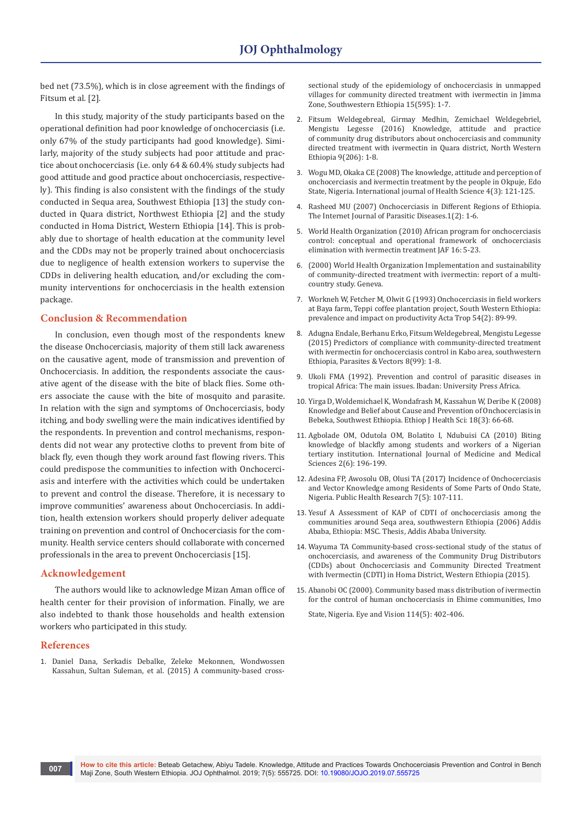bed net (73.5%), which is in close agreement with the findings of Fitsum et al. [2].

In this study, majority of the study participants based on the operational definition had poor knowledge of onchocerciasis (i.e. only 67% of the study participants had good knowledge). Similarly, majority of the study subjects had poor attitude and practice about onchocerciasis (i.e. only 64 & 60.4% study subjects had good attitude and good practice about onchocerciasis, respectively). This finding is also consistent with the findings of the study conducted in Sequa area, Southwest Ethiopia [13] the study conducted in Quara district, Northwest Ethiopia [2] and the study conducted in Homa District, Western Ethiopia [14]. This is probably due to shortage of health education at the community level and the CDDs may not be properly trained about onchocerciasis due to negligence of health extension workers to supervise the CDDs in delivering health education, and/or excluding the community interventions for onchocerciasis in the health extension package.

### **Conclusion & Recommendation**

In conclusion, even though most of the respondents knew the disease Onchocerciasis, majority of them still lack awareness on the causative agent, mode of transmission and prevention of Onchocerciasis. In addition, the respondents associate the causative agent of the disease with the bite of black flies. Some others associate the cause with the bite of mosquito and parasite. In relation with the sign and symptoms of Onchocerciasis, body itching, and body swelling were the main indicatives identified by the respondents. In prevention and control mechanisms, respondents did not wear any protective cloths to prevent from bite of black fly, even though they work around fast flowing rivers. This could predispose the communities to infection with Onchocerciasis and interfere with the activities which could be undertaken to prevent and control the disease. Therefore, it is necessary to improve communities' awareness about Onchocerciasis. In addition, health extension workers should properly deliver adequate training on prevention and control of Onchocerciasis for the community. Health service centers should collaborate with concerned professionals in the area to prevent Onchocerciasis [15].

### **Acknowledgement**

The authors would like to acknowledge Mizan Aman office of health center for their provision of information. Finally, we are also indebted to thank those households and health extension workers who participated in this study.

### **References**

1. [Daniel Dana, Serkadis Debalke, Zeleke Mekonnen, Wondwossen](https://www.ncbi.nlm.nih.gov/pubmed/26130117)  [Kassahun, Sultan Suleman, et al. \(2015\) A community-based cross-](https://www.ncbi.nlm.nih.gov/pubmed/26130117) [sectional study of the epidemiology of onchocerciasis in unmapped](https://www.ncbi.nlm.nih.gov/pubmed/26130117)  [villages for community directed treatment with ivermectin in Jimma](https://www.ncbi.nlm.nih.gov/pubmed/26130117)  [Zone, Southwestern Ethiopia 15\(595\): 1-7.](https://www.ncbi.nlm.nih.gov/pubmed/26130117)

- 2. [Fitsum Weldegebreal, Girmay Medhin, Zemichael Weldegebriel,](https://www.ncbi.nlm.nih.gov/pmc/articles/PMC4822301/)  [Mengistu Legesse \(2016\) Knowledge, attitude and](https://www.ncbi.nlm.nih.gov/pmc/articles/PMC4822301/) practice of [community drug distributors about](https://www.ncbi.nlm.nih.gov/pmc/articles/PMC4822301/) onchocerciasis and community directed treatment with ivermectin in [Quara district, North Western](https://www.ncbi.nlm.nih.gov/pmc/articles/PMC4822301/)  [Ethiopia 9\(206\): 1-8.](https://www.ncbi.nlm.nih.gov/pmc/articles/PMC4822301/)
- 3. [Wogu MD, Okaka CE \(2008\) The knowledge, attitude and perception of](https://pdfs.semanticscholar.org/35b0/6a261c568c82222e3d1985f3933b72a4a6bc.pdf)  [onchocerciasis and ivermectin treatment by the people in Okpuje, Edo](https://pdfs.semanticscholar.org/35b0/6a261c568c82222e3d1985f3933b72a4a6bc.pdf)  [State, Nigeria. International journal of Health Science 4\(3\): 121-125.](https://pdfs.semanticscholar.org/35b0/6a261c568c82222e3d1985f3933b72a4a6bc.pdf)
- 4. [Rasheed MU \(2007\) Onchocerciasis in Different Regions of Ethiopia.](https://print.ispub.com/api/0/ispub-article/3369)  [The Internet Journal of Parasitic Diseases.1\(2\): 1-6.](https://print.ispub.com/api/0/ispub-article/3369)
- 5. [World Health Organization \(2010\) African program for onchocerciasis](https://www.who.int/apoc/oncho_elimination_report_english.pdf)  [control: conceptual and operational framework of onchocerciasis](https://www.who.int/apoc/oncho_elimination_report_english.pdf)  [elimination with ivermectin treatment JAF 16: 5-23.](https://www.who.int/apoc/oncho_elimination_report_english.pdf)
- 6. (2000) World Health Organization Implementation and sustainability of community-directed treatment with ivermectin: report of a multicountry study. Geneva.
- 7. [Workneh W, Fetcher M, Olwit G \(1993\) Onchocerciasis in field workers](https://www.sciencedirect.com/science/article/abs/pii/0001706X9390054F)  [at Baya farm, Teppi coffee plantation project, South Western Ethiopia:](https://www.sciencedirect.com/science/article/abs/pii/0001706X9390054F)  [prevalence and impact on productivity Acta Trop 54\(2\): 89-99.](https://www.sciencedirect.com/science/article/abs/pii/0001706X9390054F)
- 8. [Adugna Endale, Berhanu Erko, Fitsum Weldegebreal, Mengistu Legesse](https://www.ncbi.nlm.nih.gov/pubmed/25890151)  [\(2015\) Predictors of compliance with community-directed treatment](https://www.ncbi.nlm.nih.gov/pubmed/25890151)  [with ivermectin for onchocerciasis control in Kabo area, southwestern](https://www.ncbi.nlm.nih.gov/pubmed/25890151)  [Ethiopia, Parasites & Vectors 8\(99\): 1-8.](https://www.ncbi.nlm.nih.gov/pubmed/25890151)
- 9. Ukoli FMA (1992). Prevention and control of parasitic diseases in tropical Africa: The main issues. Ibadan: University Press Africa.
- 10. [Yirga D, Woldemichael K, Wondafrash M, Kassahun W, Deribe K \(2008\)](https://www.ajol.info/index.php/ejhs/article/view/145944)  [Knowledge and Belief about Cause and Prevention of Onchocerciasis in](https://www.ajol.info/index.php/ejhs/article/view/145944)  [Bebeka, Southwest Ethiopia. Ethiop J Health Sci: 18\(3\): 66-68.](https://www.ajol.info/index.php/ejhs/article/view/145944)
- 11. [Agbolade OM, Odutola OM, Bolatito I, Ndubuisi CA \(2010\) Biting](https://pdfs.semanticscholar.org/88d9/63f74307b773bde516ed832f96820b6ce1d0.pdf)  [knowledge of blackfly among students and workers of a Nigerian](https://pdfs.semanticscholar.org/88d9/63f74307b773bde516ed832f96820b6ce1d0.pdf)  [tertiary institution. International Journal of Medicine and Medical](https://pdfs.semanticscholar.org/88d9/63f74307b773bde516ed832f96820b6ce1d0.pdf)  [Sciences 2\(6\): 196-199.](https://pdfs.semanticscholar.org/88d9/63f74307b773bde516ed832f96820b6ce1d0.pdf)
- 12. [Adesina FP, Awosolu OB, Olusi TA \(2017\) Incidence of Onchocerciasis](http://article.sapub.org/10.5923.j.phr.20170705.01.html)  [and Vector Knowledge among Residents of Some Parts of Ondo State,](http://article.sapub.org/10.5923.j.phr.20170705.01.html)  [Nigeria. Public Health Research 7\(5\): 107-111.](http://article.sapub.org/10.5923.j.phr.20170705.01.html)
- 13. Yesuf A Assessment of KAP of CDTI of onchocerciasis among the communities around Seqa area, southwestern Ethiopia (2006) Addis Ababa, Ethiopia: MSC. Thesis, Addis Ababa University.
- 14. Wayuma TA Community-based cross-sectional study of the status of onchocerciasis, and awareness of the Community Drug Distributors (CDDs) about Onchocerciasis and Community Directed Treatment with Ivermectin (CDTI) in Homa District, Western Ethiopia (2015).
- 15. [Abanobi OC \(2000\). Community based mass distribution of ivermectin](https://www.ncbi.nlm.nih.gov/pubmed/11035465)  [for the control of human onchocerciasis in Ehime communities, Imo](https://www.ncbi.nlm.nih.gov/pubmed/11035465)

[State, Nigeria. Eye and Vision 114\(5\): 402-406.](https://www.ncbi.nlm.nih.gov/pubmed/11035465)